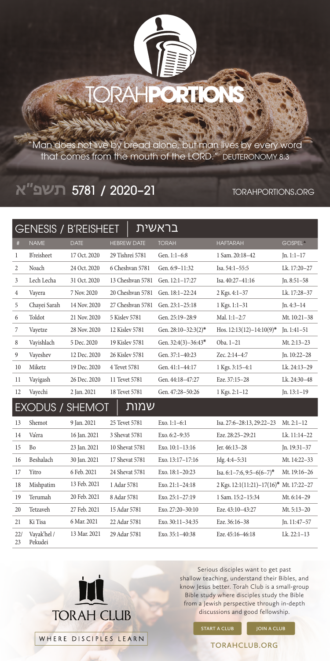

"Man does not live by bread alone, but man lives by every word that comes from the mouth of the LORD." DEUTERONOMY 8:3

## 21–2020 / 5781 **תשפ״א**

## torahportions.org

| בראשית<br><b>GENESIS / B'REISHEET</b> |                        |              |                    |                          |                                         |                     |  |  |  |  |
|---------------------------------------|------------------------|--------------|--------------------|--------------------------|-----------------------------------------|---------------------|--|--|--|--|
| $\#$                                  | <b>NAME</b>            | <b>DATE</b>  | <b>HEBREW DATE</b> | <b>TORAH</b>             | <b>HAFTARAH</b>                         | GOSPEL <sup>A</sup> |  |  |  |  |
| $\mathbf{1}$                          | <b>B'reisheet</b>      | 17 Oct. 2020 | 29 Tishrei 5781    | Gen. 1:1-6:8             | 1 Sam. 20:18-42                         | $In. 1:1-17$        |  |  |  |  |
| 2                                     | Noach                  | 24 Oct. 2020 | 6 Cheshvan 5781    | Gen. 6:9-11:32           | Isa. 54:1-55:5                          | Lk. 17:20-27        |  |  |  |  |
| 3                                     | Lech Lecha             | 31 Oct. 2020 | 13 Cheshvan 5781   | Gen. 12:1-17:27          | Isa. 40:27-41:16                        | $Jn. 8:51-58$       |  |  |  |  |
| 4                                     | Vayera                 | 7 Nov. 2020  | 20 Cheshvan 5781   | Gen. 18:1-22:24          | 2 Kgs. 4:1-37                           | Lk. 17:28-37        |  |  |  |  |
| 5                                     | Chayei Sarah           | 14 Nov. 2020 | 27 Cheshvan 5781   | Gen. 23:1-25:18          | 1 Kgs. 1:1-31                           | $Jn.4:3-14$         |  |  |  |  |
| 6                                     | Toldot                 | 21 Nov. 2020 | 5 Kisley 5781      | Gen. 25:19-28:9          | Mal. 1:1-2:7                            | Mt. 10:21-38        |  |  |  |  |
| 7                                     | Vayetze                | 28 Nov. 2020 | 12 Kislev 5781     | Gen. $28:10-32:3(2)^{*}$ | Hos. $12:13(12)-14:10(9)$ *             | $In.1:41-51$        |  |  |  |  |
| 8                                     | Vayishlach             | 5 Dec. 2020  | 19 Kisley 5781     | Gen. $32:4(3)-36:43*$    | Oba. 1-21                               | Mt. $2:13-23$       |  |  |  |  |
| 9                                     | Vayeshev               | 12 Dec. 2020 | 26 Kislev 5781     | Gen. 37:1-40:23          | Zec. 2:14-4:7                           | Jn. 10:22-28        |  |  |  |  |
| 10                                    | Miketz                 | 19 Dec. 2020 | 4 Tevet 5781       | Gen. 41:1-44:17          | 1 Kgs. 3:15-4:1                         | Lk. 24:13-29        |  |  |  |  |
| 11                                    | Vayigash               | 26 Dec. 2020 | 11 Tevet 5781      | Gen. 44:18-47:27         | Eze. 37:15-28                           | Lk. 24:30-48        |  |  |  |  |
| 12                                    | Vayechi                | 2 Jan. 2021  | 18 Tevet 5781      | Gen. 47:28-50:26         | 1 Kgs. 2:1-12                           | Jn. 13:1-19         |  |  |  |  |
|                                       | <b>EXODUS / SHEMOT</b> |              | שמות               |                          |                                         |                     |  |  |  |  |
| 13                                    | Shemot                 | 9 Jan. 2021  | 25 Tevet 5781      | Exo. $1:1-6:1$           | Isa. 27:6-28:13, 29:22-23               | $Mt. 2:1-12$        |  |  |  |  |
| 14                                    | Vaera                  | 16 Jan. 2021 | 3 Shevat 5781      | Exo. 6:2-9:35            | Eze. 28:25-29:21                        | Lk. 11:14-22        |  |  |  |  |
| 15                                    | <b>Bo</b>              | 23 Jan. 2021 | 10 Shevat 5781     | Exo. 10:1-13:16          | Jer. 46:13-28                           | Jn. 19:31-37        |  |  |  |  |
| 16                                    | Beshalach              | 30 Jan. 2021 | 17 Shevat 5781     | Exo. 13:17-17:16         | Jdg. 4:4-5:31                           | Mt. 14:22-33        |  |  |  |  |
| 17                                    | Yitro                  | 6 Feb. 2021  | 24 Shevat 5781     | Exo. $18:1-20:23$        | Isa. 6:1-7:6, 9:5-6(6-7)*               | Mt. 19:16-26        |  |  |  |  |
| 18                                    | Mishpatim              | 13 Feb. 2021 | 1 Adar 5781        | Exo. 21:1-24:18          | 2 Kgs. 12:1(11:21)-17(16)* Mt. 17:22-27 |                     |  |  |  |  |
| 19                                    | Terumah                | 20 Feb. 2021 | 8 Adar 5781        | Exo. 25:1-27:19          | 1 Sam. 15:2-15:34                       | Mt. 6:14-29         |  |  |  |  |
| 20                                    | Tetzaveh               | 27 Feb. 2021 | 15 Adar 5781       | Exo. 27:20-30:10         | Eze. 43:10-43:27                        | Mt. 5:13-20         |  |  |  |  |
| 21                                    | Ki Tisa                | 6 Mar. 2021  | 22 Adar 5781       | Exo. 30:11-34:35         | Eze. 36:16-38                           | In. 11:47-57        |  |  |  |  |
| 22/<br>23                             | Vayak'hel /<br>Pekudei | 13 Mar. 2021 | 29 Adar 5781       | Exo. 35:1-40:38          | Eze. 45:16-46:18                        | $Lk. 22:1-13$       |  |  |  |  |



Serious disciples want to get past shallow teaching, understand their Bibles, and know Jesus better. Torah Club is a small-group Bible study where disciples study the Bible from a Jewish perspective through in-depth discussions and good fellowship.

WHERE DISCIPLES LEARN **TORAHCLUB.ORG**

**START A CLUB JOIN A CLUB**